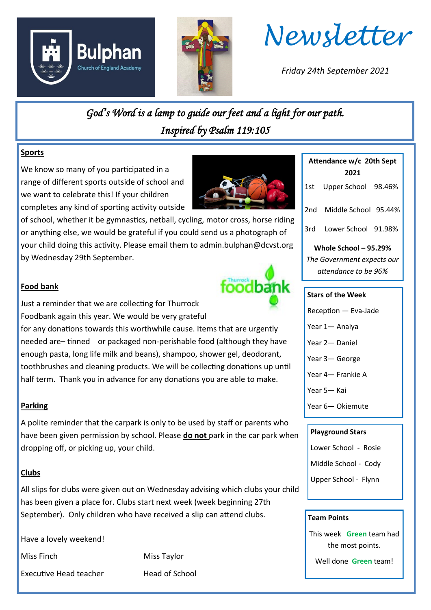



*Newsletter*

*Friday 24th September 2021*

*God's Word is a lamp to guide our feet and a light for our path. Inspired by Psalm 119:105* 

#### **Sports**

We know so many of you participated in a range of different sports outside of school and we want to celebrate this! If your children completes any kind of sporting activity outside

of school, whether it be gymnastics, netball, cycling, motor cross, horse riding or anything else, we would be grateful if you could send us a photograph of your child doing this activity. Please email them to admin.bulphan@dcvst.org by Wednesday 29th September.



#### **Food bank**

Just a reminder that we are collecting for Thurrock Foodbank again this year. We would be very grateful

for any donations towards this worthwhile cause. Items that are urgently needed are– tinned or packaged non-perishable food (although they have enough pasta, long life milk and beans), shampoo, shower gel, deodorant, toothbrushes and cleaning products. We will be collecting donations up until half term. Thank you in advance for any donations you are able to make.

#### **Parking**

A polite reminder that the carpark is only to be used by staff or parents who have been given permission by school. Please **do not** park in the car park when dropping off, or picking up, your child.

#### **Clubs**

All slips for clubs were given out on Wednesday advising which clubs your child has been given a place for. Clubs start next week (week beginning 27th September). Only children who have received a slip can attend clubs.

Have a lovely weekend!

Executive Head teacher **Head of School** 

Miss Finch **Miss Taylor** 

| Attendance w/c 20th Sept<br>2021 |                      |
|----------------------------------|----------------------|
| 1st -                            | Upper School 98.46%  |
| 2nd                              | Middle School 95.44% |
| 3rd -                            | Lower School 91.98%  |
| Whole School $-95.29\%$          |                      |
| The Government expects our       |                      |
| attendance to be 96%             |                      |

#### **Stars of the Week**

Reception — Eva-Jade

Year 1— Anaiya

Year 2— Daniel

Year 3— George

Year 4— Frankie A

Year 5— Kai

Year 6— Okiemute

#### **Playground Stars**

Lower School - Rosie

Middle School - Cody

Upper School - Flynn

#### **Team Points**

This week **Green** team had the most points.

Well done **Green** team!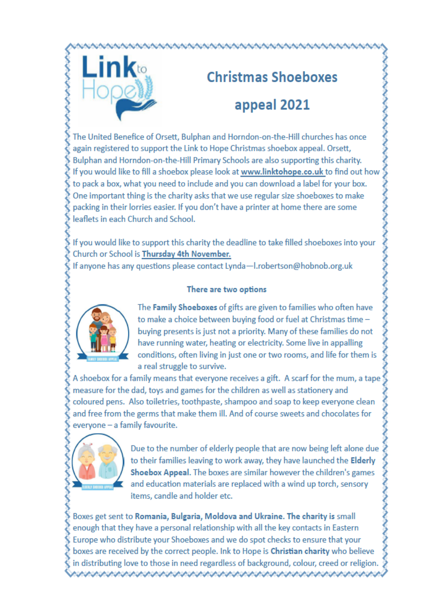

# **Christmas Shoeboxes** appeal 2021

The United Benefice of Orsett, Bulphan and Horndon-on-the-Hill churches has once again registered to support the Link to Hope Christmas shoebox appeal. Orsett, Bulphan and Horndon-on-the-Hill Primary Schools are also supporting this charity. If you would like to fill a shoebox please look at www.linktohope.co.uk to find out how to pack a box, what you need to include and you can download a label for your box. One important thing is the charity asks that we use regular size shoeboxes to make packing in their lorries easier. If you don't have a printer at home there are some leaflets in each Church and School.

If you would like to support this charity the deadline to take filled shoeboxes into your Church or School is Thursday 4th November.

If anyone has any questions please contact Lynda-I.robertson@hobnob.org.uk

#### There are two options



The Family Shoeboxes of gifts are given to families who often have to make a choice between buying food or fuel at Christmas time buving presents is just not a priority. Many of these families do not have running water, heating or electricity. Some live in appalling conditions, often living in just one or two rooms, and life for them is a real struggle to survive.

A shoebox for a family means that everyone receives a gift. A scarf for the mum, a tape measure for the dad, toys and games for the children as well as stationery and coloured pens. Also toiletries, toothpaste, shampoo and soap to keep everyone clean and free from the germs that make them ill. And of course sweets and chocolates for everyone - a family favourite.



Due to the number of elderly people that are now being left alone due to their families leaving to work away, they have launched the Elderly Shoebox Appeal. The boxes are similar however the children's games and education materials are replaced with a wind up torch, sensory items, candle and holder etc.

Boxes get sent to Romania, Bulgaria, Moldova and Ukraine. The charity is small enough that they have a personal relationship with all the key contacts in Eastern Europe who distribute your Shoeboxes and we do spot checks to ensure that your boxes are received by the correct people. Ink to Hope is Christian charity who believe in distributing love to those in need regardless of background, colour, creed or religion.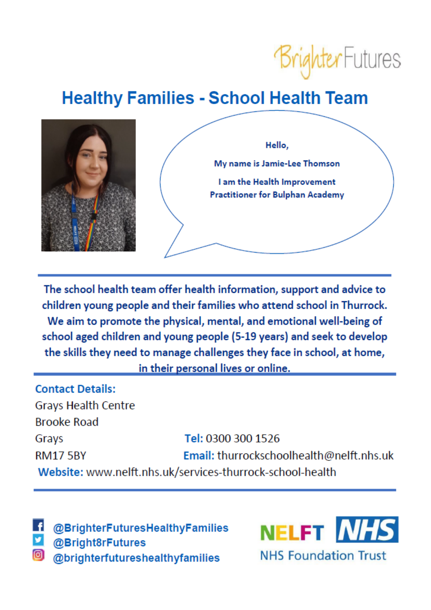

## **Healthy Families - School Health Team**



The school health team offer health information, support and advice to children young people and their families who attend school in Thurrock. We aim to promote the physical, mental, and emotional well-being of school aged children and young people (5-19 years) and seek to develop the skills they need to manage challenges they face in school, at home, in their personal lives or online.

**Contact Details: Grays Health Centre Brooke Road** Tel: 0300 300 1526 Grays Email: thurrockschoolhealth@nelft.nhs.uk **RM17 5BY** Website: www.nelft.nhs.uk/services-thurrock-school-health

@BrighterFuturesHealthyFamilies @Bright8rFutures @brighterfutureshealthyfamilies